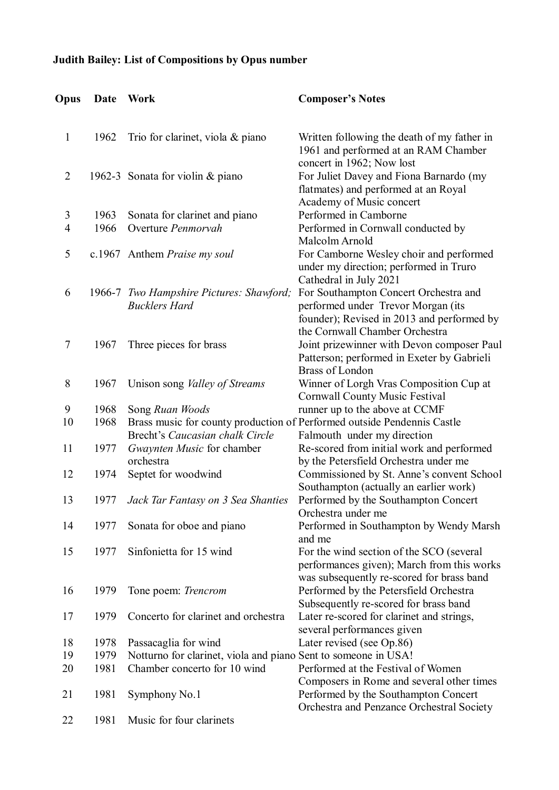## **Judith Bailey: List of Compositions by Opus number**

| Opus           | Date | Work                                                                    | <b>Composer's Notes</b>                                                                                          |
|----------------|------|-------------------------------------------------------------------------|------------------------------------------------------------------------------------------------------------------|
|                |      |                                                                         |                                                                                                                  |
| 1              | 1962 | Trio for clarinet, viola & piano                                        | Written following the death of my father in<br>1961 and performed at an RAM Chamber<br>concert in 1962; Now lost |
| $\overline{2}$ |      | 1962-3 Sonata for violin & piano                                        | For Juliet Davey and Fiona Barnardo (my                                                                          |
|                |      |                                                                         | flatmates) and performed at an Royal                                                                             |
|                |      |                                                                         | Academy of Music concert                                                                                         |
|                |      |                                                                         |                                                                                                                  |
| 3              | 1963 | Sonata for clarinet and piano                                           | Performed in Camborne                                                                                            |
| 4              | 1966 | Overture Penmorvah                                                      | Performed in Cornwall conducted by<br>Malcolm Arnold                                                             |
| 5              |      | c.1967 Anthem Praise my soul                                            | For Camborne Wesley choir and performed                                                                          |
|                |      |                                                                         | under my direction; performed in Truro                                                                           |
|                |      |                                                                         | Cathedral in July 2021                                                                                           |
| 6              |      | 1966-7 Two Hampshire Pictures: Shawford;                                | For Southampton Concert Orchestra and                                                                            |
|                |      | <b>Bucklers Hard</b>                                                    | performed under Trevor Morgan (its                                                                               |
|                |      |                                                                         | founder); Revised in 2013 and performed by                                                                       |
|                |      |                                                                         | the Cornwall Chamber Orchestra                                                                                   |
| $\overline{7}$ | 1967 | Three pieces for brass                                                  | Joint prizewinner with Devon composer Paul                                                                       |
|                |      |                                                                         | Patterson; performed in Exeter by Gabrieli                                                                       |
|                |      |                                                                         | <b>Brass of London</b>                                                                                           |
| 8              | 1967 | Unison song <i>Valley of Streams</i>                                    | Winner of Lorgh Vras Composition Cup at                                                                          |
|                |      |                                                                         | <b>Cornwall County Music Festival</b>                                                                            |
| 9              | 1968 | Song Ruan Woods                                                         | runner up to the above at CCMF                                                                                   |
| 10             | 1968 | Brass music for county production of Performed outside Pendennis Castle |                                                                                                                  |
|                |      | Brecht's Caucasian chalk Circle                                         | Falmouth under my direction                                                                                      |
| 11             | 1977 | Gwaynten Music for chamber                                              | Re-scored from initial work and performed                                                                        |
|                |      | orchestra                                                               | by the Petersfield Orchestra under me                                                                            |
| 12             | 1974 | Septet for woodwind                                                     | Commissioned by St. Anne's convent School                                                                        |
|                |      |                                                                         | Southampton (actually an earlier work)                                                                           |
| 13             | 1977 | Jack Tar Fantasy on 3 Sea Shanties                                      | Performed by the Southampton Concert                                                                             |
|                |      |                                                                         | Orchestra under me                                                                                               |
| 14             | 1977 | Sonata for oboe and piano                                               | Performed in Southampton by Wendy Marsh                                                                          |
|                |      |                                                                         | and me                                                                                                           |
| 15             | 1977 | Sinfonietta for 15 wind                                                 | For the wind section of the SCO (several                                                                         |
|                |      |                                                                         | performances given); March from this works                                                                       |
|                |      |                                                                         | was subsequently re-scored for brass band                                                                        |
| 16             | 1979 | Tone poem: Trencrom                                                     | Performed by the Petersfield Orchestra                                                                           |
|                |      |                                                                         | Subsequently re-scored for brass band                                                                            |
| 17             | 1979 | Concerto for clarinet and orchestra                                     | Later re-scored for clarinet and strings,                                                                        |
|                |      |                                                                         | several performances given                                                                                       |
| 18             | 1978 | Passacaglia for wind                                                    | Later revised (see Op.86)                                                                                        |
| 19             | 1979 | Notturno for clarinet, viola and piano Sent to someone in USA!          |                                                                                                                  |
| 20             | 1981 | Chamber concerto for 10 wind                                            | Performed at the Festival of Women                                                                               |
|                |      |                                                                         | Composers in Rome and several other times                                                                        |
| 21             | 1981 | Symphony No.1                                                           | Performed by the Southampton Concert                                                                             |
|                |      |                                                                         | Orchestra and Penzance Orchestral Society                                                                        |
| 22             | 1981 | Music for four clarinets                                                |                                                                                                                  |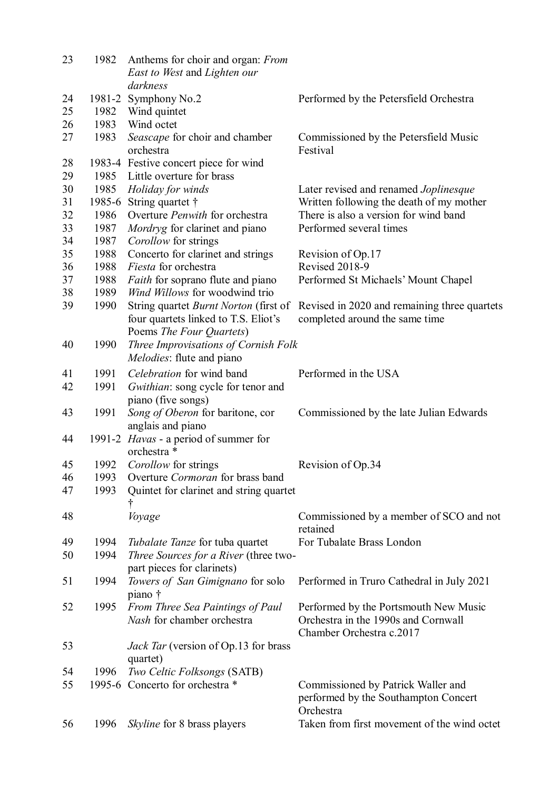| 23 | 1982 | Anthems for choir and organ: <i>From</i><br>East to West and Lighten our<br>darkness |                                              |
|----|------|--------------------------------------------------------------------------------------|----------------------------------------------|
| 24 |      | 1981-2 Symphony No.2                                                                 | Performed by the Petersfield Orchestra       |
| 25 | 1982 | Wind quintet                                                                         |                                              |
| 26 | 1983 | Wind octet                                                                           |                                              |
| 27 |      |                                                                                      |                                              |
|    | 1983 | Seascape for choir and chamber                                                       | Commissioned by the Petersfield Music        |
|    |      | orchestra                                                                            | Festival                                     |
| 28 |      | 1983-4 Festive concert piece for wind                                                |                                              |
| 29 | 1985 | Little overture for brass                                                            |                                              |
| 30 | 1985 | Holiday for winds                                                                    | Later revised and renamed Joplinesque        |
| 31 |      | 1985-6 String quartet †                                                              | Written following the death of my mother     |
| 32 | 1986 | Overture Penwith for orchestra                                                       | There is also a version for wind band        |
| 33 | 1987 | Mordryg for clarinet and piano                                                       | Performed several times                      |
| 34 | 1987 | Corollow for strings                                                                 |                                              |
| 35 | 1988 | Concerto for clarinet and strings                                                    | Revision of Op.17                            |
| 36 | 1988 | Fiesta for orchestra                                                                 | Revised 2018-9                               |
| 37 | 1988 | Faith for soprano flute and piano                                                    | Performed St Michaels' Mount Chapel          |
| 38 | 1989 | Wind Willows for woodwind trio                                                       |                                              |
| 39 | 1990 | String quartet <i>Burnt Norton</i> (first of                                         | Revised in 2020 and remaining three quartets |
|    |      | four quartets linked to T.S. Eliot's                                                 | completed around the same time               |
|    |      | Poems The Four Quartets)                                                             |                                              |
| 40 | 1990 | Three Improvisations of Cornish Folk                                                 |                                              |
|    |      | <i>Melodies:</i> flute and piano                                                     |                                              |
| 41 | 1991 | Celebration for wind band                                                            | Performed in the USA                         |
| 42 | 1991 | Gwithian: song cycle for tenor and                                                   |                                              |
|    |      | piano (five songs)                                                                   |                                              |
| 43 | 1991 | Song of Oberon for baritone, cor                                                     | Commissioned by the late Julian Edwards      |
|    |      | anglais and piano                                                                    |                                              |
| 44 |      | 1991-2 Havas - a period of summer for                                                |                                              |
|    |      | orchestra *                                                                          |                                              |
| 45 | 1992 | Corollow for strings                                                                 | Revision of Op.34                            |
| 46 | 1993 | Overture Cormoran for brass band                                                     |                                              |
| 47 | 1993 | Quintet for clarinet and string quartet                                              |                                              |
|    |      |                                                                                      |                                              |
| 48 |      | Voyage                                                                               | Commissioned by a member of SCO and not      |
|    |      |                                                                                      | retained                                     |
| 49 | 1994 | <i>Tubalate Tanze</i> for tuba quartet                                               | For Tubalate Brass London                    |
| 50 | 1994 | Three Sources for a River (three two-                                                |                                              |
|    |      | part pieces for clarinets)                                                           |                                              |
| 51 | 1994 | Towers of San Gimignano for solo                                                     | Performed in Truro Cathedral in July 2021    |
|    |      | piano †                                                                              |                                              |
| 52 | 1995 | From Three Sea Paintings of Paul                                                     | Performed by the Portsmouth New Music        |
|    |      | Nash for chamber orchestra                                                           | Orchestra in the 1990s and Cornwall          |
|    |      |                                                                                      | Chamber Orchestra c.2017                     |
|    |      |                                                                                      |                                              |
| 53 |      | <i>Jack Tar</i> (version of Op.13 for brass                                          |                                              |
|    |      | quartet)                                                                             |                                              |
| 54 | 1996 | Two Celtic Folksongs (SATB)                                                          |                                              |
| 55 |      | 1995-6 Concerto for orchestra *                                                      | Commissioned by Patrick Waller and           |
|    |      |                                                                                      | performed by the Southampton Concert         |
|    |      |                                                                                      | Orchestra                                    |
| 56 | 1996 | <i>Skyline</i> for 8 brass players                                                   | Taken from first movement of the wind octet  |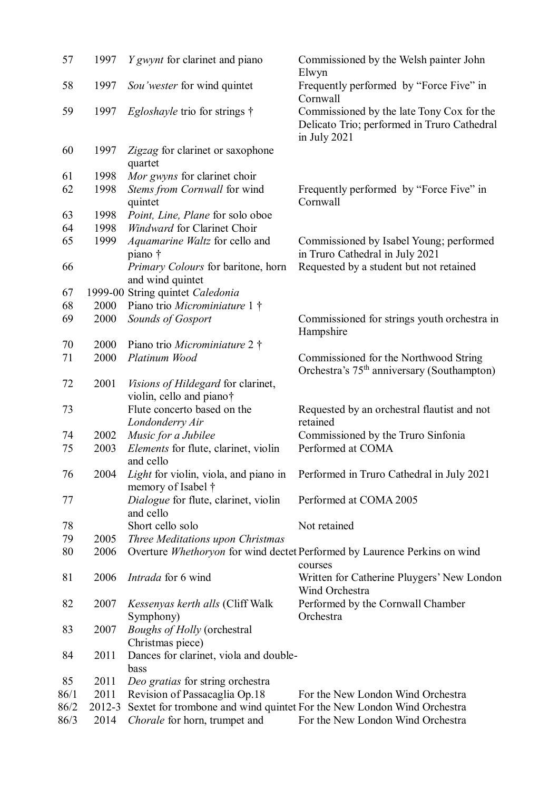| 57           | 1997           | <i>Y</i> gwynt for clarinet and piano                          | Commissioned by the Welsh painter John<br>Elwyn                                                             |
|--------------|----------------|----------------------------------------------------------------|-------------------------------------------------------------------------------------------------------------|
| 58           | 1997           | Sou'wester for wind quintet                                    | Frequently performed by "Force Five" in<br>Cornwall                                                         |
| 59           | 1997           | <i>Egloshayle</i> trio for strings $\dagger$                   | Commissioned by the late Tony Cox for the<br>Delicato Trio; performed in Truro Cathedral<br>in July 2021    |
| 60           | 1997           | Zigzag for clarinet or saxophone<br>quartet                    |                                                                                                             |
| 61           | 1998           | Mor gwyns for clarinet choir                                   |                                                                                                             |
| 62           | 1998           | Stems from Cornwall for wind<br>quintet                        | Frequently performed by "Force Five" in<br>Cornwall                                                         |
| 63           | 1998           | Point, Line, Plane for solo oboe                               |                                                                                                             |
| 64           | 1998           | <b>Windward for Clarinet Choir</b>                             |                                                                                                             |
| 65           | 1999           | Aquamarine Waltz for cello and<br>piano †                      | Commissioned by Isabel Young; performed<br>in Truro Cathedral in July 2021                                  |
| 66           |                | Primary Colours for baritone, horn<br>and wind quintet         | Requested by a student but not retained                                                                     |
| 67           |                | 1999-00 String quintet Caledonia                               |                                                                                                             |
| 68           | 2000           | Piano trio Microminiature 1 †                                  |                                                                                                             |
| 69           | 2000           | Sounds of Gosport                                              | Commissioned for strings youth orchestra in<br>Hampshire                                                    |
| 70           | 2000           | Piano trio Microminiature 2 †                                  |                                                                                                             |
| 71           | 2000           | Platinum Wood                                                  | Commissioned for the Northwood String                                                                       |
|              |                |                                                                | Orchestra's 75 <sup>th</sup> anniversary (Southampton)                                                      |
| 72           | 2001           | Visions of Hildegard for clarinet,<br>violin, cello and piano† |                                                                                                             |
| 73           |                | Flute concerto based on the<br>Londonderry Air                 | Requested by an orchestral flautist and not<br>retained                                                     |
| 74           | 2002           | Music for a Jubilee                                            | Commissioned by the Truro Sinfonia                                                                          |
| 75           | 2003           | <i>Elements</i> for flute, clarinet, violin<br>and cello       | Performed at COMA                                                                                           |
| 76           | 2004           | memory of Isabel †                                             | Light for violin, viola, and piano in Performed in Truro Cathedral in July 2021                             |
| 77           |                | Dialogue for flute, clarinet, violin<br>and cello              | Performed at COMA 2005                                                                                      |
| 78           |                | Short cello solo                                               | Not retained                                                                                                |
| 79           | 2005           | Three Meditations upon Christmas                               |                                                                                                             |
| 80           | 2006           |                                                                | Overture Whethoryon for wind dectet Performed by Laurence Perkins on wind<br>courses                        |
| 81           | 2006           | <i>Intrada</i> for 6 wind                                      | Written for Catherine Pluygers' New London<br>Wind Orchestra                                                |
| 82           | 2007           | <i>Kessenyas kerth alls</i> (Cliff Walk                        | Performed by the Cornwall Chamber                                                                           |
| 83           | 2007           | Symphony)<br><b>Boughs of Holly (orchestral</b>                | Orchestra                                                                                                   |
| 84           | 2011           | Christmas piece)<br>Dances for clarinet, viola and double-     |                                                                                                             |
|              |                | bass                                                           |                                                                                                             |
| 85           | 2011           | Deo gratias for string orchestra                               |                                                                                                             |
| 86/1         | 2011           | Revision of Passacaglia Op.18                                  | For the New London Wind Orchestra                                                                           |
| 86/2<br>86/3 | 2012-3<br>2014 | Chorale for horn, trumpet and                                  | Sextet for trombone and wind quintet For the New London Wind Orchestra<br>For the New London Wind Orchestra |